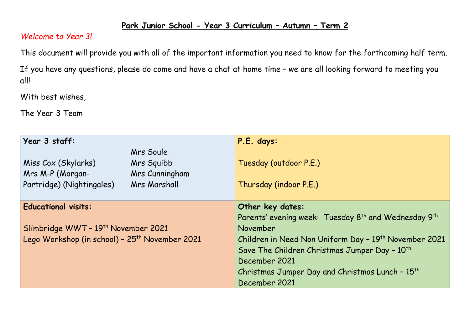## **Park Junior School - Year 3 Curriculum – Autumn – Term 2**

## *Welcome to Year 3!*

This document will provide you with all of the important information you need to know for the forthcoming half term.

If you have any questions, please do come and have a chat at home time – we are all looking forward to meeting you all!

With best wishes,

The Year 3 Team

| Year 3 staff:                                              | P.E. days:                                                                   |  |  |
|------------------------------------------------------------|------------------------------------------------------------------------------|--|--|
| Mrs Soule                                                  |                                                                              |  |  |
| Miss Cox (Skylarks)<br>Mrs Squibb                          | Tuesday (outdoor P.E.)                                                       |  |  |
| <b>Mrs M-P (Morgan-</b><br>Mrs Cunningham                  |                                                                              |  |  |
| Partridge) (Nightingales)<br><b>Mrs Marshall</b>           | Thursday (indoor P.E.)                                                       |  |  |
|                                                            |                                                                              |  |  |
| <b>Educational visits:</b>                                 | Other key dates:                                                             |  |  |
|                                                            | Parents' evening week: Tuesday 8 <sup>th</sup> and Wednesday 9 <sup>th</sup> |  |  |
| Slimbridge WWT - 19th November 2021                        | November                                                                     |  |  |
| Lego Workshop (in school) - 25 <sup>th</sup> November 2021 | Children in Need Non Uniform Day - 19 <sup>th</sup> November 2021            |  |  |
|                                                            | Save The Children Christmas Jumper Day - 10 <sup>th</sup>                    |  |  |
|                                                            | December 2021                                                                |  |  |
|                                                            | Christmas Jumper Day and Christmas Lunch - 15 <sup>th</sup>                  |  |  |
|                                                            | December 2021                                                                |  |  |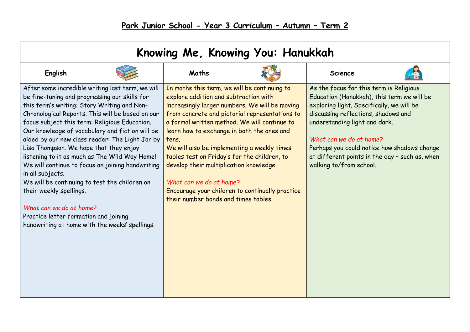| Knowing Me, Knowing You: Hanukkah                                                                                                                                                                                                                                                                                                                                                                                                                                                                                                                                                                                                                                                                                                |                                                                                                                                                                                                                                                                                                                                                                                                                                                                                                                                                                  |  |                                                                                                                                                                                                                                                                                                                                                                   |  |  |  |  |  |
|----------------------------------------------------------------------------------------------------------------------------------------------------------------------------------------------------------------------------------------------------------------------------------------------------------------------------------------------------------------------------------------------------------------------------------------------------------------------------------------------------------------------------------------------------------------------------------------------------------------------------------------------------------------------------------------------------------------------------------|------------------------------------------------------------------------------------------------------------------------------------------------------------------------------------------------------------------------------------------------------------------------------------------------------------------------------------------------------------------------------------------------------------------------------------------------------------------------------------------------------------------------------------------------------------------|--|-------------------------------------------------------------------------------------------------------------------------------------------------------------------------------------------------------------------------------------------------------------------------------------------------------------------------------------------------------------------|--|--|--|--|--|
| English                                                                                                                                                                                                                                                                                                                                                                                                                                                                                                                                                                                                                                                                                                                          | Maths                                                                                                                                                                                                                                                                                                                                                                                                                                                                                                                                                            |  | <b>Science</b>                                                                                                                                                                                                                                                                                                                                                    |  |  |  |  |  |
| After some incredible writing last term, we will<br>be fine-tuning and progressing our skills for<br>this term's writing: Story Writing and Non-<br>Chronological Reports. This will be based on our<br>focus subject this term: Religious Education.<br>Our knowledge of vocabulary and fiction will be<br>aided by our new class reader: The Light Jar by<br>Lisa Thompson. We hope that they enjoy<br>listening to it as much as The Wild Way Home!<br>We will continue to focus on joining handwriting<br>in all subjects.<br>We will be continuing to test the children on<br>their weekly spellings.<br>What can we do at home?<br>Practice letter formation and joining<br>handwriting at home with the weeks' spellings. | In maths this term, we will be continuing to<br>explore addition and subtraction with<br>increasingly larger numbers. We will be moving<br>from concrete and pictorial representations to<br>a formal written method. We will continue to<br>learn how to exchange in both the ones and<br>tens.<br>We will also be implementing a weekly times<br>tables test on Friday's for the children, to<br>develop their multiplication knowledge.<br>What can we do at home?<br>Encourage your children to continually practice<br>their number bonds and times tables. |  | As the focus for this term is Religious<br>Education (Hanukkah), this term we will be<br>exploring light. Specifically, we will be<br>discussing reflections, shadows and<br>understanding light and dark.<br>What can we do at home?<br>Perhaps you could notice how shadows change<br>at different points in the day - such as, when<br>walking to/from school. |  |  |  |  |  |